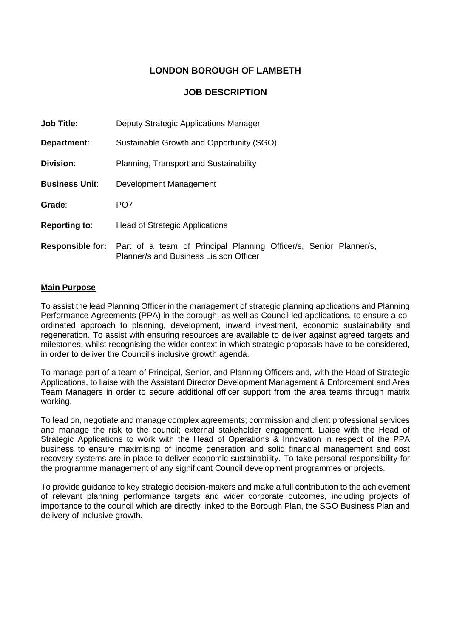# **LONDON BOROUGH OF LAMBETH**

## **JOB DESCRIPTION**

| Job Title:              | Deputy Strategic Applications Manager                                                                       |  |  |
|-------------------------|-------------------------------------------------------------------------------------------------------------|--|--|
| Department:             | Sustainable Growth and Opportunity (SGO)                                                                    |  |  |
| <b>Division:</b>        | Planning, Transport and Sustainability                                                                      |  |  |
| <b>Business Unit:</b>   | Development Management                                                                                      |  |  |
| Grade:                  | PO <sub>7</sub>                                                                                             |  |  |
| <b>Reporting to:</b>    | <b>Head of Strategic Applications</b>                                                                       |  |  |
| <b>Responsible for:</b> | Part of a team of Principal Planning Officer/s, Senior Planner/s,<br>Planner/s and Business Liaison Officer |  |  |

#### **Main Purpose**

To assist the lead Planning Officer in the management of strategic planning applications and Planning Performance Agreements (PPA) in the borough, as well as Council led applications, to ensure a coordinated approach to planning, development, inward investment, economic sustainability and regeneration. To assist with ensuring resources are available to deliver against agreed targets and milestones, whilst recognising the wider context in which strategic proposals have to be considered, in order to deliver the Council's inclusive growth agenda.

To manage part of a team of Principal, Senior, and Planning Officers and, with the Head of Strategic Applications, to liaise with the Assistant Director Development Management & Enforcement and Area Team Managers in order to secure additional officer support from the area teams through matrix working.

To lead on, negotiate and manage complex agreements; commission and client professional services and manage the risk to the council; external stakeholder engagement. Liaise with the Head of Strategic Applications to work with the Head of Operations & Innovation in respect of the PPA business to ensure maximising of income generation and solid financial management and cost recovery systems are in place to deliver economic sustainability. To take personal responsibility for the programme management of any significant Council development programmes or projects.

To provide guidance to key strategic decision-makers and make a full contribution to the achievement of relevant planning performance targets and wider corporate outcomes, including projects of importance to the council which are directly linked to the Borough Plan, the SGO Business Plan and delivery of inclusive growth.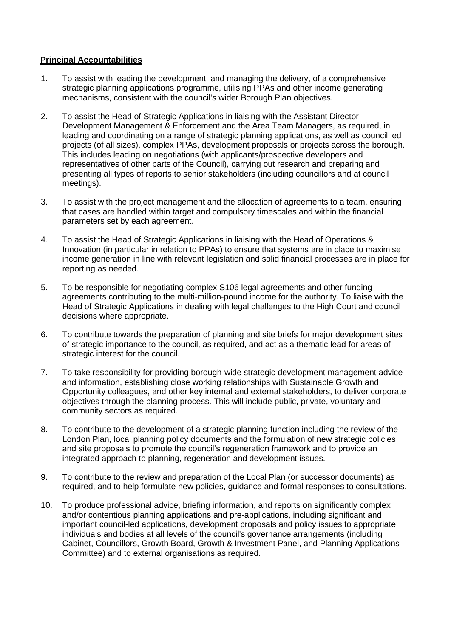### **Principal Accountabilities**

- 1. To assist with leading the development, and managing the delivery, of a comprehensive strategic planning applications programme, utilising PPAs and other income generating mechanisms, consistent with the council's wider Borough Plan objectives.
- 2. To assist the Head of Strategic Applications in liaising with the Assistant Director Development Management & Enforcement and the Area Team Managers, as required, in leading and coordinating on a range of strategic planning applications, as well as council led projects (of all sizes), complex PPAs, development proposals or projects across the borough. This includes leading on negotiations (with applicants/prospective developers and representatives of other parts of the Council), carrying out research and preparing and presenting all types of reports to senior stakeholders (including councillors and at council meetings).
- 3. To assist with the project management and the allocation of agreements to a team, ensuring that cases are handled within target and compulsory timescales and within the financial parameters set by each agreement.
- 4. To assist the Head of Strategic Applications in liaising with the Head of Operations & Innovation (in particular in relation to PPAs) to ensure that systems are in place to maximise income generation in line with relevant legislation and solid financial processes are in place for reporting as needed.
- 5. To be responsible for negotiating complex S106 legal agreements and other funding agreements contributing to the multi-million-pound income for the authority. To liaise with the Head of Strategic Applications in dealing with legal challenges to the High Court and council decisions where appropriate.
- 6. To contribute towards the preparation of planning and site briefs for major development sites of strategic importance to the council, as required, and act as a thematic lead for areas of strategic interest for the council.
- 7. To take responsibility for providing borough-wide strategic development management advice and information, establishing close working relationships with Sustainable Growth and Opportunity colleagues, and other key internal and external stakeholders, to deliver corporate objectives through the planning process. This will include public, private, voluntary and community sectors as required.
- 8. To contribute to the development of a strategic planning function including the review of the London Plan, local planning policy documents and the formulation of new strategic policies and site proposals to promote the council's regeneration framework and to provide an integrated approach to planning, regeneration and development issues.
- 9. To contribute to the review and preparation of the Local Plan (or successor documents) as required, and to help formulate new policies, guidance and formal responses to consultations.
- 10. To produce professional advice, briefing information, and reports on significantly complex and/or contentious planning applications and pre-applications, including significant and important council-led applications, development proposals and policy issues to appropriate individuals and bodies at all levels of the council's governance arrangements (including Cabinet, Councillors, Growth Board, Growth & Investment Panel, and Planning Applications Committee) and to external organisations as required.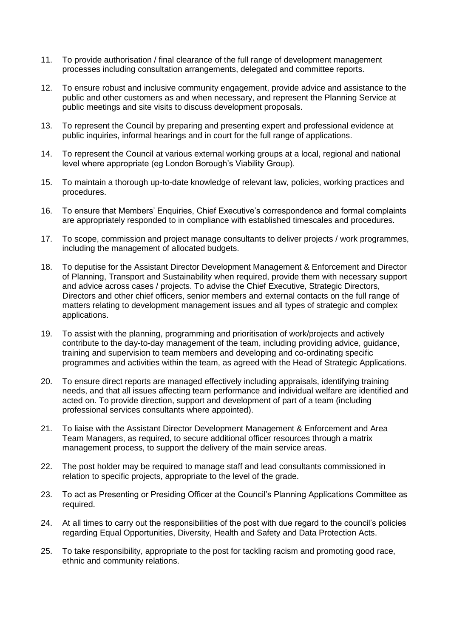- 11. To provide authorisation / final clearance of the full range of development management processes including consultation arrangements, delegated and committee reports.
- 12. To ensure robust and inclusive community engagement, provide advice and assistance to the public and other customers as and when necessary, and represent the Planning Service at public meetings and site visits to discuss development proposals.
- 13. To represent the Council by preparing and presenting expert and professional evidence at public inquiries, informal hearings and in court for the full range of applications.
- 14. To represent the Council at various external working groups at a local, regional and national level where appropriate (eg London Borough's Viability Group).
- 15. To maintain a thorough up-to-date knowledge of relevant law, policies, working practices and procedures.
- 16. To ensure that Members' Enquiries, Chief Executive's correspondence and formal complaints are appropriately responded to in compliance with established timescales and procedures.
- 17. To scope, commission and project manage consultants to deliver projects / work programmes, including the management of allocated budgets.
- 18. To deputise for the Assistant Director Development Management & Enforcement and Director of Planning, Transport and Sustainability when required, provide them with necessary support and advice across cases / projects. To advise the Chief Executive, Strategic Directors, Directors and other chief officers, senior members and external contacts on the full range of matters relating to development management issues and all types of strategic and complex applications.
- 19. To assist with the planning, programming and prioritisation of work/projects and actively contribute to the day-to-day management of the team, including providing advice, guidance, training and supervision to team members and developing and co-ordinating specific programmes and activities within the team, as agreed with the Head of Strategic Applications.
- 20. To ensure direct reports are managed effectively including appraisals, identifying training needs, and that all issues affecting team performance and individual welfare are identified and acted on. To provide direction, support and development of part of a team (including professional services consultants where appointed).
- 21. To liaise with the Assistant Director Development Management & Enforcement and Area Team Managers, as required, to secure additional officer resources through a matrix management process, to support the delivery of the main service areas.
- 22. The post holder may be required to manage staff and lead consultants commissioned in relation to specific projects, appropriate to the level of the grade.
- 23. To act as Presenting or Presiding Officer at the Council's Planning Applications Committee as required.
- 24. At all times to carry out the responsibilities of the post with due regard to the council's policies regarding Equal Opportunities, Diversity, Health and Safety and Data Protection Acts.
- 25. To take responsibility, appropriate to the post for tackling racism and promoting good race, ethnic and community relations.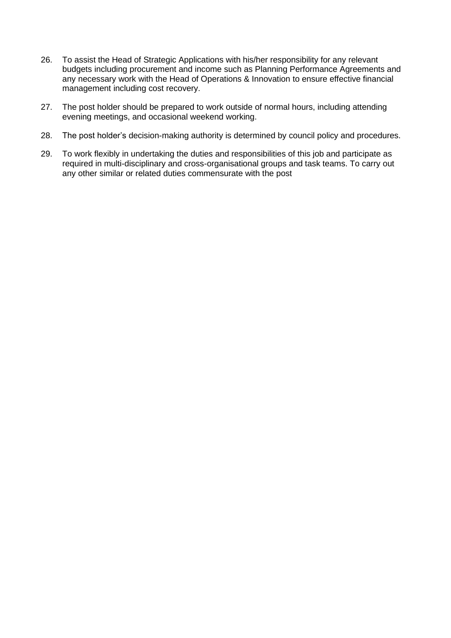- 26. To assist the Head of Strategic Applications with his/her responsibility for any relevant budgets including procurement and income such as Planning Performance Agreements and any necessary work with the Head of Operations & Innovation to ensure effective financial management including cost recovery.
- 27. The post holder should be prepared to work outside of normal hours, including attending evening meetings, and occasional weekend working.
- 28. The post holder's decision-making authority is determined by council policy and procedures.
- 29. To work flexibly in undertaking the duties and responsibilities of this job and participate as required in multi-disciplinary and cross-organisational groups and task teams. To carry out any other similar or related duties commensurate with the post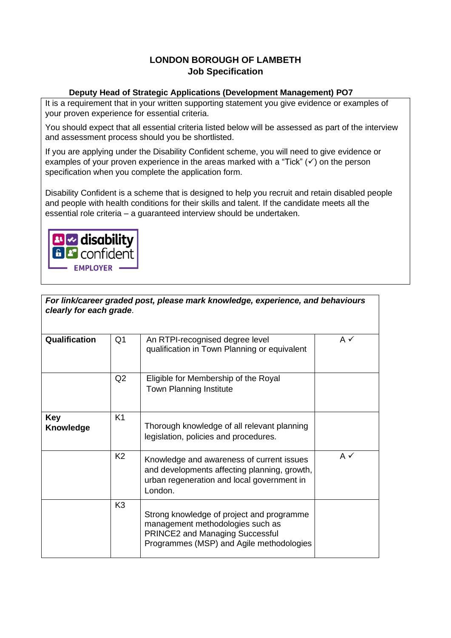# **LONDON BOROUGH OF LAMBETH Job Specification**

## **Deputy Head of Strategic Applications (Development Management) PO7**

It is a requirement that in your written supporting statement you give evidence or examples of your proven experience for essential criteria.

You should expect that all essential criteria listed below will be assessed as part of the interview and assessment process should you be shortlisted.

If you are applying under the Disability Confident scheme, you will need to give evidence or examples of your proven experience in the areas marked with a "Tick"  $(\checkmark)$  on the person specification when you complete the application form.

Disability Confident is a scheme that is designed to help you recruit and retain disabled people and people with health conditions for their skills and talent. If the candidate meets all the essential role criteria – a guaranteed interview should be undertaken.



| clearly for each grade. |                | For link/career graded post, please mark knowledge, experience, and behaviours                                                                                      |                |
|-------------------------|----------------|---------------------------------------------------------------------------------------------------------------------------------------------------------------------|----------------|
| Qualification           | Q <sub>1</sub> | An RTPI-recognised degree level<br>qualification in Town Planning or equivalent                                                                                     | A $\checkmark$ |
|                         | Q <sub>2</sub> | Eligible for Membership of the Royal<br><b>Town Planning Institute</b>                                                                                              |                |
| Key<br><b>Knowledge</b> | K1             | Thorough knowledge of all relevant planning<br>legislation, policies and procedures.                                                                                |                |
|                         | K <sub>2</sub> | Knowledge and awareness of current issues<br>and developments affecting planning, growth,<br>urban regeneration and local government in<br>London.                  | $A \checkmark$ |
|                         | K <sub>3</sub> | Strong knowledge of project and programme<br>management methodologies such as<br><b>PRINCE2 and Managing Successful</b><br>Programmes (MSP) and Agile methodologies |                |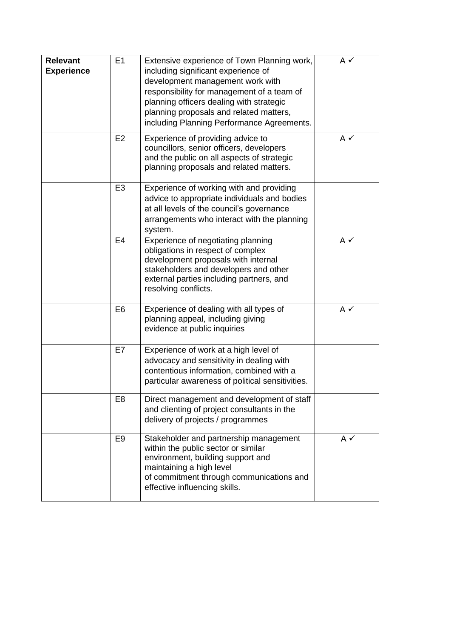| <b>Relevant</b><br><b>Experience</b> | E1             | Extensive experience of Town Planning work,<br>including significant experience of<br>development management work with<br>responsibility for management of a team of<br>planning officers dealing with strategic<br>planning proposals and related matters,<br>including Planning Performance Agreements. | A✓             |
|--------------------------------------|----------------|-----------------------------------------------------------------------------------------------------------------------------------------------------------------------------------------------------------------------------------------------------------------------------------------------------------|----------------|
|                                      | E2             | Experience of providing advice to<br>councillors, senior officers, developers<br>and the public on all aspects of strategic<br>planning proposals and related matters.                                                                                                                                    | A✓             |
|                                      | E <sub>3</sub> | Experience of working with and providing<br>advice to appropriate individuals and bodies<br>at all levels of the council's governance<br>arrangements who interact with the planning<br>system.                                                                                                           |                |
|                                      | E <sub>4</sub> | Experience of negotiating planning<br>obligations in respect of complex<br>development proposals with internal<br>stakeholders and developers and other<br>external parties including partners, and<br>resolving conflicts.                                                                               | A $\checkmark$ |
|                                      | E <sub>6</sub> | Experience of dealing with all types of<br>planning appeal, including giving<br>evidence at public inquiries                                                                                                                                                                                              | $A \checkmark$ |
|                                      | E7             | Experience of work at a high level of<br>advocacy and sensitivity in dealing with<br>contentious information, combined with a<br>particular awareness of political sensitivities.                                                                                                                         |                |
|                                      | E <sub>8</sub> | Direct management and development of staff<br>and clienting of project consultants in the<br>delivery of projects / programmes                                                                                                                                                                            |                |
|                                      | E <sub>9</sub> | Stakeholder and partnership management<br>within the public sector or similar<br>environment, building support and<br>maintaining a high level<br>of commitment through communications and<br>effective influencing skills.                                                                               | A $\checkmark$ |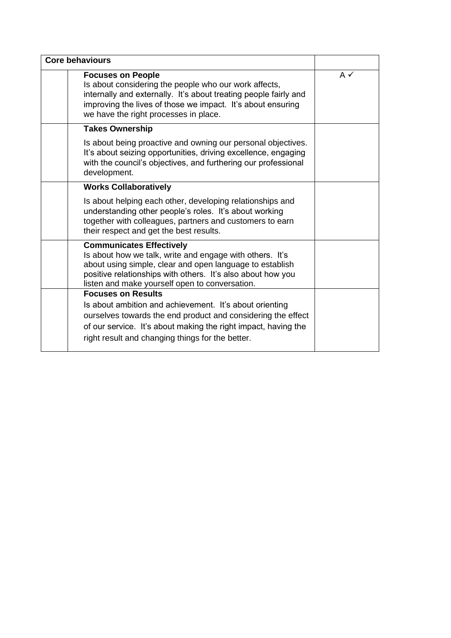| <b>Core behaviours</b>                                                                                                                                                                                                                                                   |    |
|--------------------------------------------------------------------------------------------------------------------------------------------------------------------------------------------------------------------------------------------------------------------------|----|
| <b>Focuses on People</b><br>Is about considering the people who our work affects,<br>internally and externally. It's about treating people fairly and<br>improving the lives of those we impact. It's about ensuring<br>we have the right processes in place.            | A✓ |
| <b>Takes Ownership</b>                                                                                                                                                                                                                                                   |    |
| Is about being proactive and owning our personal objectives.<br>It's about seizing opportunities, driving excellence, engaging<br>with the council's objectives, and furthering our professional<br>development.                                                         |    |
| <b>Works Collaboratively</b>                                                                                                                                                                                                                                             |    |
| Is about helping each other, developing relationships and<br>understanding other people's roles. It's about working<br>together with colleagues, partners and customers to earn<br>their respect and get the best results.                                               |    |
| <b>Communicates Effectively</b><br>Is about how we talk, write and engage with others. It's<br>about using simple, clear and open language to establish<br>positive relationships with others. It's also about how you<br>listen and make yourself open to conversation. |    |
| <b>Focuses on Results</b>                                                                                                                                                                                                                                                |    |
| Is about ambition and achievement. It's about orienting                                                                                                                                                                                                                  |    |
| ourselves towards the end product and considering the effect<br>of our service. It's about making the right impact, having the                                                                                                                                           |    |
| right result and changing things for the better.                                                                                                                                                                                                                         |    |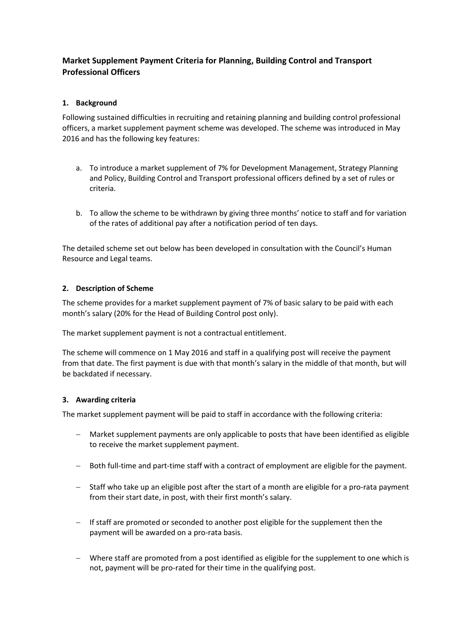## **Market Supplement Payment Criteria for Planning, Building Control and Transport Professional Officers**

### **1. Background**

Following sustained difficulties in recruiting and retaining planning and building control professional officers, a market supplement payment scheme was developed. The scheme was introduced in May 2016 and has the following key features:

- a. To introduce a market supplement of 7% for Development Management, Strategy Planning and Policy, Building Control and Transport professional officers defined by a set of rules or criteria.
- b. To allow the scheme to be withdrawn by giving three months' notice to staff and for variation of the rates of additional pay after a notification period of ten days.

The detailed scheme set out below has been developed in consultation with the Council's Human Resource and Legal teams.

### **2. Description of Scheme**

The scheme provides for a market supplement payment of 7% of basic salary to be paid with each month's salary (20% for the Head of Building Control post only).

The market supplement payment is not a contractual entitlement.

The scheme will commence on 1 May 2016 and staff in a qualifying post will receive the payment from that date. The first payment is due with that month's salary in the middle of that month, but will be backdated if necessary.

#### **3. Awarding criteria**

The market supplement payment will be paid to staff in accordance with the following criteria:

- Market supplement payments are only applicable to posts that have been identified as eligible to receive the market supplement payment.
- − Both full-time and part-time staff with a contract of employment are eligible for the payment.
- − Staff who take up an eligible post after the start of a month are eligible for a pro-rata payment from their start date, in post, with their first month's salary.
- If staff are promoted or seconded to another post eligible for the supplement then the payment will be awarded on a pro-rata basis.
- − Where staff are promoted from a post identified as eligible for the supplement to one which is not, payment will be pro-rated for their time in the qualifying post.